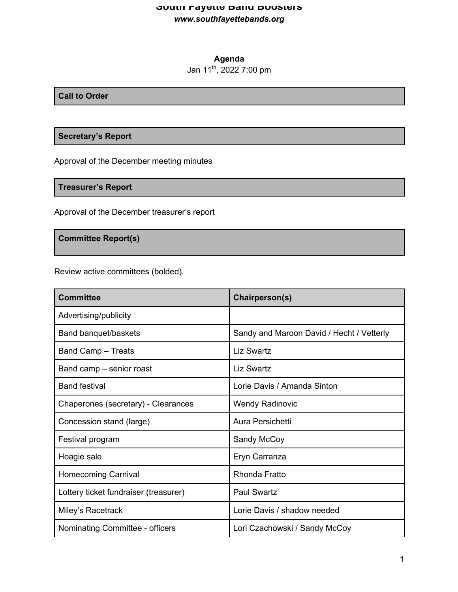# **South Fayette Band Boosters** *www.southfayettebands.org*

# **Agenda**

# Jan 11th, 2022 7:00 pm

### **Call to Order**

## **Secretary's Report**

Approval of the December meeting minutes

**Treasurer's Report**

Approval of the December treasurer's report

**Committee Report(s)**

Review active committees (bolded).

| <b>Committee</b>                      | Chairperson(s)                            |
|---------------------------------------|-------------------------------------------|
| Advertising/publicity                 |                                           |
| Band banquet/baskets                  | Sandy and Maroon David / Hecht / Vetterly |
| <b>Band Camp - Treats</b>             | Liz Swartz                                |
| Band camp – senior roast              | <b>Liz Swartz</b>                         |
| <b>Band festival</b>                  | Lorie Davis / Amanda Sinton               |
| Chaperones (secretary) - Clearances   | <b>Wendy Radinovic</b>                    |
| Concession stand (large)              | Aura Persichetti                          |
| Festival program                      | Sandy McCoy                               |
| Hoagie sale                           | Eryn Carranza                             |
| <b>Homecoming Carnival</b>            | Rhonda Fratto                             |
| Lottery ticket fundraiser (treasurer) | <b>Paul Swartz</b>                        |
| Miley's Racetrack                     | Lorie Davis / shadow needed               |
| Nominating Committee - officers       | Lori Czachowski / Sandy McCoy             |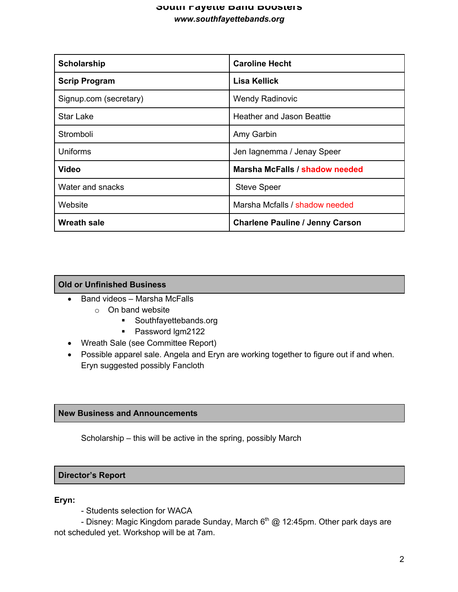# **South Fayette Band Boosters** *www.southfayettebands.org*

| Scholarship            | <b>Caroline Hecht</b>                  |
|------------------------|----------------------------------------|
| <b>Scrip Program</b>   | Lisa Kellick                           |
| Signup.com (secretary) | <b>Wendy Radinovic</b>                 |
| <b>Star Lake</b>       | Heather and Jason Beattie              |
| Stromboli              | Amy Garbin                             |
| <b>Uniforms</b>        | Jen lagnemma / Jenay Speer             |
| <b>Video</b>           | Marsha McFalls / shadow needed         |
| Water and snacks       | <b>Steve Speer</b>                     |
| Website                | Marsha Mcfalls / shadow needed         |
| <b>Wreath sale</b>     | <b>Charlene Pauline / Jenny Carson</b> |

## **Old or Unfinished Business**

- Band videos Marsha McFalls
	- o On band website
		- § Southfayettebands.org
		- Password Igm2122
- Wreath Sale (see Committee Report)
- Possible apparel sale. Angela and Eryn are working together to figure out if and when. Eryn suggested possibly Fancloth

## **New Business and Announcements**

Scholarship – this will be active in the spring, possibly March

#### **Director's Report**

#### **Eryn:**

- Students selection for WACA

- Disney: Magic Kingdom parade Sunday, March  $6<sup>th</sup>$  @ 12:45pm. Other park days are not scheduled yet. Workshop will be at 7am.